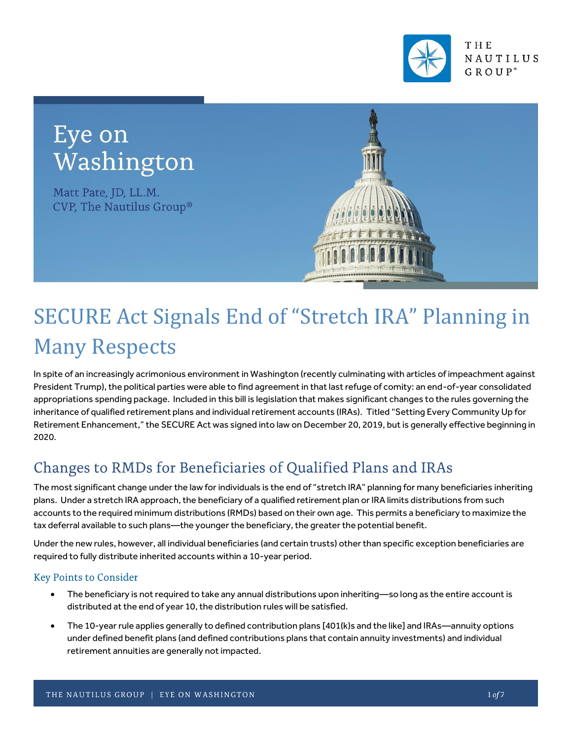

## Eye on Washington

Matt Pate, JD, LL.M. CVP, The Nautilus Group®



# SECURE Act Signals End of "Stretch IRA" Planning in Many Respects

In spite of an increasingly acrimonious environment in Washington (recently culminating with articles of impeachment against President Trump), the political parties were able to find agreement in that last refuge of comity: an end-of-year consolidated appropriations spending package. Included in this bill is legislation that makes significant changes to the rules governing the inheritance of qualified retirement plans and individual retirement accounts (IRAs). Titled "Setting Every Community Up for Retirement Enhancement," the SECURE Act was signed into law on December 20, 2019, but is generally effective beginning in 2020.

## Changes to RMDs for Beneficiaries of Qualified Plans and IRAs

The most significant change under the law for individuals is the end of "stretch IRA" planning for many beneficiaries inheriting plans. Under a stretch IRA approach, the beneficiary of a qualified retirement plan or IRA limits distributions from such accounts to the required minimum distributions (RMDs) based on their own age. This permits a beneficiary to maximize the tax deferral available to such plans—the younger the beneficiary, the greater the potential benefit.

Under the new rules, however, all individual beneficiaries (and certain trusts) other than specific exception beneficiaries are required to fully distribute inherited accounts within a 10-year period.

#### **Key Points to Consider**

- The beneficiary is not required to take any annual distributions upon inheriting—so long as the entire account is distributed at the end of year 10, the distribution rules will be satisfied.
- The 10-year rule applies generally to defined contribution plans [401(k)s and the like] and IRAs—annuity options under defined benefit plans (and defined contributions plans that contain annuity investments) and individual retirement annuities are generally not impacted.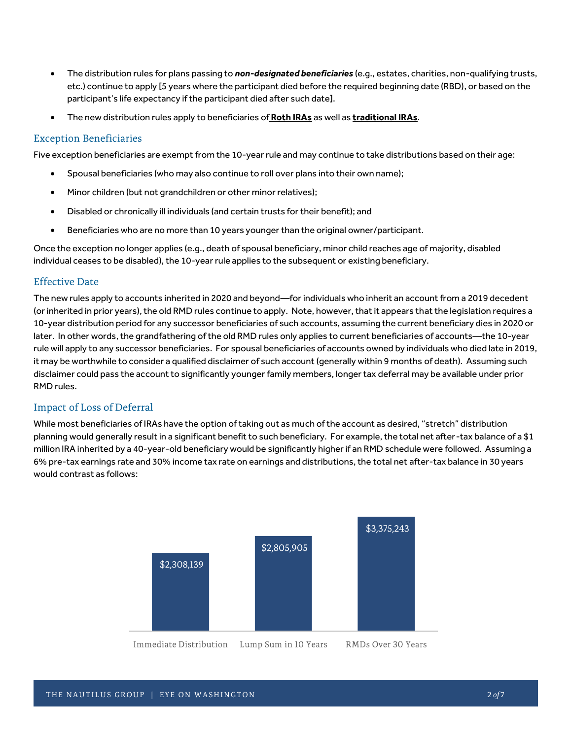- The distribution rules for plans passing to *non-designated beneficiaries* (e.g., estates, charities, non-qualifying trusts, etc.) continue to apply [5 years where the participant died before the required beginning date (RBD), or based on the participant's life expectancy if the participant died after such date].
- The new distribution rules apply to beneficiaries of **Roth IRAs** as well as **traditional IRAs**.

#### **Exception Beneficiaries**

Five exception beneficiaries are exempt from the 10-year rule and may continue to take distributions based on their age:

- Spousal beneficiaries (who may also continue to roll over plans into their own name);
- Minor children (but not grandchildren or other minor relatives);
- Disabled or chronically ill individuals (and certain trusts for their benefit); and
- Beneficiaries who are no more than 10 years younger than the original owner/participant.

Once the exception no longer applies (e.g., death of spousal beneficiary, minor child reaches age of majority, disabled individual ceases to be disabled), the 10-year rule applies to the subsequent or existing beneficiary.

#### **Effective Date**

The new rules apply to accounts inherited in 2020 and beyond—for individuals who inherit an account from a 2019 decedent (or inherited in prior years), the old RMD rules continue to apply. Note, however, that it appears that the legislation requires a 10-year distribution period for any successor beneficiaries of such accounts, assuming the current beneficiary dies in 2020 or later. In other words, the grandfathering of the old RMD rules only applies to current beneficiaries of accounts—the 10-year rule will apply to any successor beneficiaries. For spousal beneficiaries of accounts owned by individuals who died late in 2019, it may be worthwhile to consider a qualified disclaimer of such account (generally within 9 months of death). Assuming such disclaimer could pass the account to significantly younger family members, longer tax deferral may be available under prior RMD rules.

#### **Impact of Loss of Deferral**

While most beneficiaries of IRAs have the option of taking out as much of the account as desired, "stretch" distribution planning would generally result in a significant benefit to such beneficiary. For example, the total net after-tax balance of a \$1 million IRA inherited by a 40-year-old beneficiary would be significantly higher if an RMD schedule were followed. Assuming a 6% pre-tax earnings rate and 30% income tax rate on earnings and distributions, the total net after-tax balance in 30 years would contrast as follows:

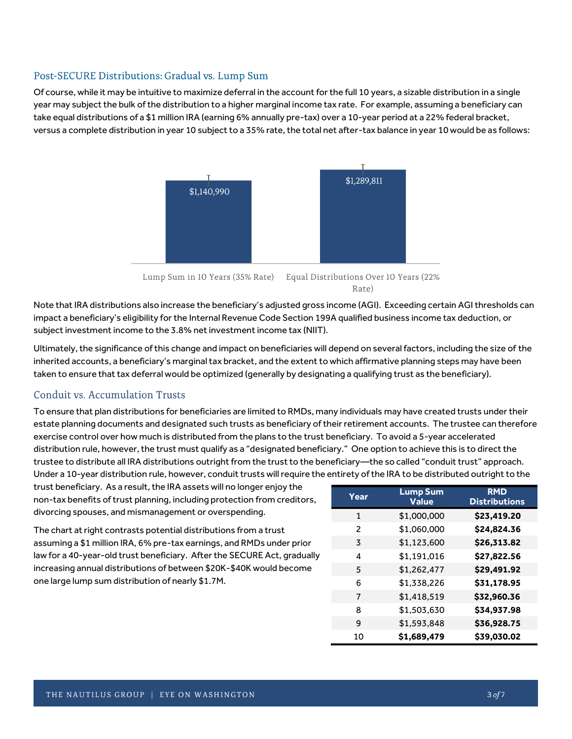#### Post-SECURE Distributions: Gradual vs. Lump Sum

Of course, while it may be intuitive to maximize deferral in the account for the full 10 years, a sizable distribution in a single year may subject the bulk of the distribution to a higher marginal income tax rate. For example, assuming a beneficiary can take equal distributions of a \$1 million IRA (earning 6% annually pre-tax) over a 10-year period at a 22% federal bracket, versus a complete distribution in year 10 subject to a 35% rate, the total net after-tax balance in year 10 would be as follows:



Rate)

Note that IRA distributions also increase the beneficiary's adjusted gross income (AGI). Exceeding certain AGI thresholds can impact a beneficiary's eligibility for the Internal Revenue Code Section 199A qualified business income tax deduction, or subject investment income to the 3.8% net investment income tax (NIIT).

Ultimately, the significance of this change and impact on beneficiaries will depend on several factors, including the size of the inherited accounts, a beneficiary's marginal tax bracket, and the extent to which affirmative planning steps may have been taken to ensure that tax deferral would be optimized (generally by designating a qualifying trust as the beneficiary).

#### Conduit vs. Accumulation Trusts

To ensure that plan distributions for beneficiaries are limited to RMDs, many individuals may have created trusts under their estate planning documents and designated such trusts as beneficiary of their retirement accounts. The trustee can therefore exercise control over how much is distributed from the plans to the trust beneficiary. To avoid a 5-year accelerated distribution rule, however, the trust must qualify as a "designated beneficiary." One option to achieve this is to direct the trustee to distribute all IRA distributions outright from the trust to the beneficiary—the so called "conduit trust" approach. Under a 10-year distribution rule, however, conduit trusts will require the entirety of the IRA to be distributed outright to the

trust beneficiary. As a result, the IRA assets will no longer enjoy the non-tax benefits of trust planning, including protection from creditors, divorcing spouses, and mismanagement or overspending.

The chart at right contrasts potential distributions from a trust assuming a \$1 million IRA, 6% pre-tax earnings, and RMDs under prior law for a 40-year-old trust beneficiary. After the SECURE Act, gradually increasing annual distributions of between \$20K-\$40K would become one large lump sum distribution of nearly \$1.7M.

| Year          | <b>Lump Sum</b><br><b>Value</b> | <b>RMD</b><br><b>Distributions</b> |  |  |  |
|---------------|---------------------------------|------------------------------------|--|--|--|
| $\mathbf{1}$  | \$1,000,000                     | \$23,419.20                        |  |  |  |
| $\mathcal{P}$ | \$1,060,000                     | \$24,824.36                        |  |  |  |
| 3             | \$1,123,600                     | \$26,313.82                        |  |  |  |
| 4             | \$1,191,016                     | \$27,822.56                        |  |  |  |
| 5             | \$1,262,477                     | \$29,491.92                        |  |  |  |
| 6             | \$1,338,226                     | \$31,178.95                        |  |  |  |
| 7             | \$1,418,519                     | \$32,960.36                        |  |  |  |
| 8             | \$1,503,630                     | \$34,937.98                        |  |  |  |
| 9             | \$1,593,848                     | \$36,928.75                        |  |  |  |
| 10            | \$1,689,479                     | \$39,030.02                        |  |  |  |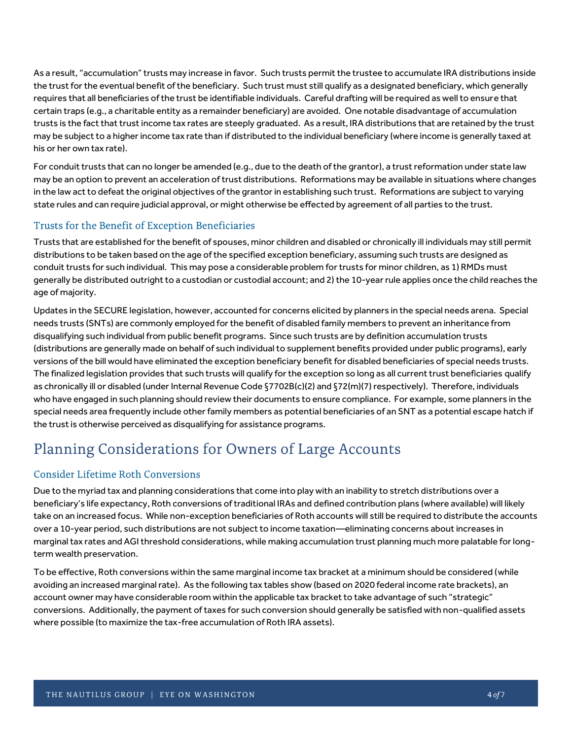As a result, "accumulation" trusts may increase in favor. Such trusts permit the trustee to accumulate IRA distributions inside the trust for the eventual benefit of the beneficiary. Such trust must still qualify as a designated beneficiary, which generally requires that all beneficiaries of the trust be identifiable individuals. Careful drafting will be required as well to ensure that certain traps (e.g., a charitable entity as a remainder beneficiary) are avoided. One notable disadvantage of accumulation trusts is the fact that trust income tax rates are steeply graduated. As a result, IRA distributions that are retained by the trust may be subject to a higher income tax rate than if distributed to the individual beneficiary (where income is generally taxed at his or her own tax rate).

For conduit trusts that can no longer be amended (e.g., due to the death of the grantor), a trust reformation under state law may be an option to prevent an acceleration of trust distributions. Reformations may be available in situations where changes in the law act to defeat the original objectives of the grantor in establishing such trust. Reformations are subject to varying state rules and can require judicial approval, or might otherwise be effected by agreement of all parties to the trust.

#### Trusts for the Benefit of Exception Beneficiaries

Trusts that are established for the benefit of spouses, minor children and disabled or chronically ill individuals may still permit distributions to be taken based on the age of the specified exception beneficiary, assuming such trusts are designed as conduit trusts for such individual. This may pose a considerable problem for trusts for minor children, as 1) RMDs must generally be distributed outright to a custodian or custodial account; and 2) the 10-year rule applies once the child reaches the age of majority.

Updates in the SECURE legislation, however, accounted for concerns elicited by planners in the special needs arena. Special needs trusts (SNTs) are commonly employed for the benefit of disabled family members to prevent an inheritance from disqualifying such individual from public benefit programs. Since such trusts are by definition accumulation trusts (distributions are generally made on behalf of such individual to supplement benefits provided under public programs), early versions of the bill would have eliminated the exception beneficiary benefit for disabled beneficiaries of special needs trusts. The finalized legislation provides that such trusts will qualify for the exception so long as all current trust beneficiaries qualify as chronically ill or disabled (under Internal Revenue Code §7702B(c)(2) and §72(m)(7) respectively). Therefore, individuals who have engaged in such planning should review their documents to ensure compliance. For example, some planners in the special needs area frequently include other family members as potential beneficiaries of an SNT as a potential escape hatch if the trust is otherwise perceived as disqualifying for assistance programs.

## Planning Considerations for Owners of Large Accounts

#### **Consider Lifetime Roth Conversions**

Due to the myriad tax and planning considerations that come into play with an inability to stretch distributions over a beneficiary's life expectancy, Roth conversions of traditional IRAs and defined contribution plans (where available) will likely take on an increased focus. While non-exception beneficiaries of Roth accounts will still be required to distribute the accounts over a 10-year period, such distributions are not subject to income taxation—eliminating concerns about increases in marginal tax rates and AGI threshold considerations, while making accumulation trust planning much more palatable for longterm wealth preservation.

To be effective, Roth conversions within the same marginal income tax bracket at a minimum should be considered (while avoiding an increased marginal rate). As the following tax tables show (based on 2020 federal income rate brackets), an account owner may have considerable room within the applicable tax bracket to take advantage of such "strategic" conversions. Additionally, the payment of taxes for such conversion should generally be satisfied with non-qualified assets where possible (to maximize the tax-free accumulation of Roth IRA assets).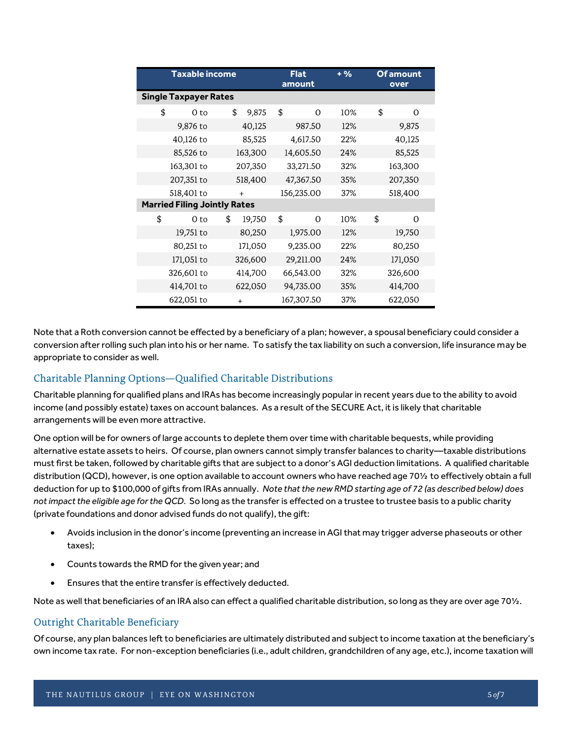| <b>Taxable income</b>               |                              |         |         | <b>Flat</b><br>amount | $+ 9/6$    | <b>Of amount</b><br>over |         |         |  |  |
|-------------------------------------|------------------------------|---------|---------|-----------------------|------------|--------------------------|---------|---------|--|--|
|                                     | <b>Single Taxpayer Rates</b> |         |         |                       |            |                          |         |         |  |  |
| \$                                  | 0 to                         | \$      | 9,875   | \$                    | $\Omega$   | 10%                      | \$      | 0       |  |  |
|                                     | 9,876 to                     |         | 40,125  |                       | 987.50     | 12%                      |         | 9,875   |  |  |
|                                     | 40,126 to                    |         | 85,525  |                       | 4,617.50   | 22%                      |         | 40,125  |  |  |
|                                     | 85,526 to                    | 163,300 |         |                       | 14,605.50  | 24%                      | 85,525  |         |  |  |
|                                     | 163,301 to                   |         | 207,350 |                       | 33,271.50  | 32%                      |         | 163,300 |  |  |
|                                     | 207,351 to                   | 518,400 |         |                       | 47,367.50  | 35%                      | 207,350 |         |  |  |
|                                     | 518,401 to                   | $+$     |         |                       | 156,235.00 | 37%                      | 518,400 |         |  |  |
| <b>Married Filing Jointly Rates</b> |                              |         |         |                       |            |                          |         |         |  |  |
| \$                                  | 0 to                         | \$      | 19,750  | \$                    | $\Omega$   | 10%                      | \$      | 0       |  |  |
|                                     | 19,751 to                    |         | 80,250  |                       | 1,975.00   | 12%                      |         | 19,750  |  |  |
|                                     | 80,251 to                    |         | 171,050 |                       | 9,235.00   | 22%                      |         | 80,250  |  |  |
|                                     | 171,051 to                   |         | 326,600 |                       | 29,211.00  | 24%                      |         | 171,050 |  |  |
|                                     | 326,601 to                   |         | 414,700 |                       | 66,543.00  | 32%                      | 326,600 |         |  |  |
|                                     | 414,701 to                   |         | 622,050 |                       | 94,735.00  | 35%                      |         | 414,700 |  |  |
|                                     | 622,051 to                   |         | $+$     |                       | 167,307.50 | 37%                      |         | 622,050 |  |  |

Note that a Roth conversion cannot be effected by a beneficiary of a plan; however, a spousal beneficiary could consider a conversion after rolling such plan into his or her name. To satisfy the tax liability on such a conversion, life insurance may be appropriate to consider as well.

#### Charitable Planning Options-Qualified Charitable Distributions

Charitable planning for qualified plans and IRAs has become increasingly popular in recent years due to the ability to avoid income (and possibly estate) taxes on account balances. As a result of the SECURE Act, it is likely that charitable arrangements will be even more attractive.

One option will be for owners of large accounts to deplete them over time with charitable bequests, while providing alternative estate assets to heirs. Of course, plan owners cannot simply transfer balances to charity—taxable distributions must first be taken, followed by charitable gifts that are subject to a donor's AGI deduction limitations. A qualified charitable distribution (QCD), however, is one option available to account owners who have reached age 70½ to effectively obtain a full deduction for up to \$100,000 of gifts from IRAs annually. *Note that the new RMD starting age of 72 (as described below) does not impact the eligible age for the QCD.* So long as the transfer is effected on a trustee to trustee basis to a public charity (private foundations and donor advised funds do not qualify), the gift:

- Avoids inclusion in the donor's income (preventing an increase in AGI that may trigger adverse phaseouts or other taxes);
- Counts towards the RMD for the given year; and
- Ensures that the entire transfer is effectively deducted.

Note as well that beneficiaries of an IRA also can effect a qualified charitable distribution, so long as they are over age 701/2.

#### Outright Charitable Beneficiary

Of course, any plan balances left to beneficiaries are ultimately distributed and subject to income taxation at the beneficiary's own income tax rate. For non-exception beneficiaries (i.e., adult children, grandchildren of any age, etc.), income taxation will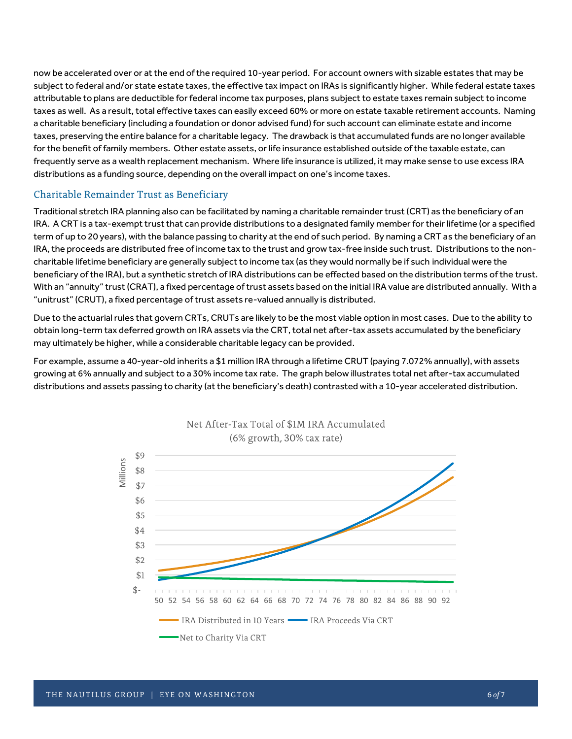now be accelerated over or at the end of the required 10-year period. For account owners with sizable estates that may be subject to federal and/or state estate taxes, the effective tax impact on IRAs is significantly higher. While federal estate taxes attributable to plans are deductible for federal income tax purposes, plans subject to estate taxes remain subject to income taxes as well. As a result, total effective taxes can easily exceed 60% or more on estate taxable retirement accounts. Naming a charitable beneficiary (including a foundation or donor advised fund) for such account can eliminate estate and income taxes, preserving the entire balance for a charitable legacy. The drawback is that accumulated funds are no longer available for the benefit of family members. Other estate assets, or life insurance established outside of the taxable estate, can frequently serve as a wealth replacement mechanism. Where life insurance is utilized, it may make sense to use excess IRA distributions as a funding source, depending on the overall impact on one's income taxes.

#### Charitable Remainder Trust as Beneficiary

Traditional stretch IRA planning also can be facilitated by naming a charitable remainder trust (CRT) as the beneficiary of an IRA. A CRT is a tax-exempt trust that can provide distributions to a designated family member for their lifetime (or a specified term of up to 20 years), with the balance passing to charity at the end of such period. By naming a CRT as the beneficiary of an IRA, the proceeds are distributed free of income tax to the trust and grow tax-free inside such trust. Distributions to the noncharitable lifetime beneficiary are generally subject to income tax (as they would normally be if such individual were the beneficiary of the IRA), but a synthetic stretch of IRA distributions can be effected based on the distribution terms of the trust. With an "annuity" trust (CRAT), a fixed percentage of trust assets based on the initial IRA value are distributed annually. With a "unitrust" (CRUT), a fixed percentage of trust assets re-valued annually is distributed.

Due to the actuarial rules that govern CRTs, CRUTs are likely to be the most viable option in most cases. Due to the ability to obtain long-term tax deferred growth on IRA assets via the CRT, total net after-tax assets accumulated by the beneficiary may ultimately be higher, while a considerable charitable legacy can be provided.

For example, assume a 40-year-old inherits a \$1 million IRA through a lifetime CRUT (paying 7.072% annually), with assets growing at 6% annually and subject to a 30% income tax rate. The graph below illustrates total net after-tax accumulated distributions and assets passing to charity (at the beneficiary's death) contrasted with a 10-year accelerated distribution.